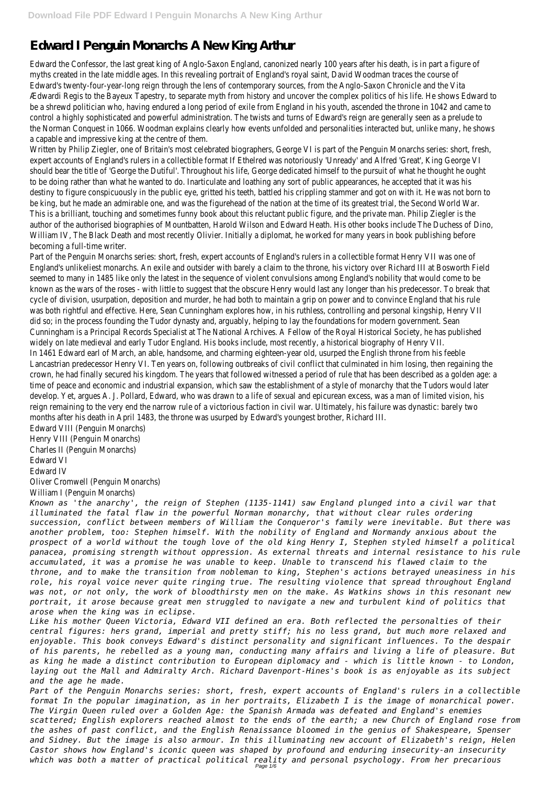## **Edward I Penguin Monarchs A New King Arthur**

Edward the Confessor, the last great king of Anglo-Saxon England, canonized nearly 100 years after his death, is in part a figure of myths created in the late middle ages. In this revealing portrait of England's royal saint, David Woodman traces the course of Edward's twenty-four-year-long reign through the lens of contemporary sources, from the Anglo-Saxon Chronicle and the Vita Ædwardi Regis to the Bayeux Tapestry, to separate myth from history and uncover the complex politics of his life. He shows Edward to be a shrewd politician who, having endured a long period of exile from England in his youth, ascended the throne in 1042 and came to control a highly sophisticated and powerful administration. The twists and turns of Edward's reign are generally seen as a prelude to the Norman Conquest in 1066. Woodman explains clearly how events unfolded and personalities interacted but, unlike many, he shows a capable and impressive king at the centre of them.

Written by Philip Ziegler, one of Britain's most celebrated biographers, George VI is part of the Penguin Monarchs series: short, fresh expert accounts of England's rulers in a collectible format If Ethelred was notoriously 'Unready' and Alfred 'Great', King George VI should bear the title of 'George the Dutiful'. Throughout his life, George dedicated himself to the pursuit of what he thought he ought to be doing rather than what he wanted to do. Inarticulate and loathing any sort of public appearances, he accepted that it was his destiny to figure conspicuously in the public eye, gritted his teeth, battled his crippling stammer and got on with it. He was not borr be king, but he made an admirable one, and was the figurehead of the nation at the time of its greatest trial, the Second World War. This is a brilliant, touching and sometimes funny book about this reluctant public figure, and the private man. Philip Ziegler is the author of the authorised biographies of Mountbatten, Harold Wilson and Edward Heath. His other books include The Duchess of Dino, William IV, The Black Death and most recently Olivier. Initially a diplomat, he worked for many years in book publishing before becoming a full-time writer.

Part of the Penguin Monarchs series: short, fresh, expert accounts of England's rulers in a collectible format Henry VII was one of England's unlikeliest monarchs. An exile and outsider with barely a claim to the throne, his victory over Richard III at Bosworth Field seemed to many in 1485 like only the latest in the sequence of violent convulsions among England's nobility that would come to be known as the wars of the roses - with little to suggest that the obscure Henry would last any longer than his predecessor. To brea cycle of division, usurpation, deposition and murder, he had both to maintain a grip on power and to convince England that his rule was both rightful and effective. Here, Sean Cunningham explores how, in his ruthless, controlling and personal kingship, Henry VII did so; in the process founding the Tudor dynasty and, arguably, helping to lay the foundations for modern government. Sean Cunningham is a Principal Records Specialist at The National Archives. A Fellow of the Royal Historical Society, he has published widely on late medieval and early Tudor England. His books include, most recently, a historical biography of Henry VII. In 1461 Edward earl of March, an able, handsome, and charming eighteen-year old, usurped the English throne from his feeble Lancastrian predecessor Henry VI. Ten years on, following outbreaks of civil conflict that culminated in him losing, then regaining the crown, he had finally secured his kingdom. The years that followed witnessed a period of rule that has been described as a golden age time of peace and economic and industrial expansion, which saw the establishment of a style of monarchy that the Tudors would lat develop. Yet, argues A. J. Pollard, Edward, who was drawn to a life of sexual and epicurean excess, was a man of limited vision, his reign remaining to the very end the narrow rule of a victorious faction in civil war. Ultimately, his failure was dynastic: barely two months after his death in April 1483, the throne was usurped by Edward's youngest brother, Richard III.

Edward VIII (Penguin Monarchs)

Henry VIII (Penguin Monarchs)

Charles II (Penguin Monarchs)

Edward VI

Edward IV

Oliver Cromwell (Penguin Monarchs)

William I (Penguin Monarchs)

*Known as 'the anarchy', the reign of Stephen (1135-1141) saw England plunged into a civil war that illuminated the fatal flaw in the powerful Norman monarchy, that without clear rules ordering succession, conflict between members of William the Conqueror's family were inevitable. But there was another problem, too: Stephen himself. With the nobility of England and Normandy anxious about the prospect of a world without the tough love of the old king Henry I, Stephen styled himself a political panacea, promising strength without oppression. As external threats and internal resistance to his rule accumulated, it was a promise he was unable to keep. Unable to transcend his flawed claim to the throne, and to make the transition from nobleman to king, Stephen's actions betrayed uneasiness in his role, his royal voice never quite ringing true. The resulting violence that spread throughout England was not, or not only, the work of bloodthirsty men on the make. As Watkins shows in this resonant new portrait, it arose because great men struggled to navigate a new and turbulent kind of politics that arose when the king was in eclipse. Like his mother Queen Victoria, Edward VII defined an era. Both reflected the personalties of their central figures: hers grand, imperial and pretty stiff; his no less grand, but much more relaxed and enjoyable. This book conveys Edward's distinct personality and significant influences. To the despair of his parents, he rebelled as a young man, conducting many affairs and living a life of pleasure. But as king he made a distinct contribution to European diplomacy and - which is little known - to London, laying out the Mall and Admiralty Arch. Richard Davenport-Hines's book is as enjoyable as its subject and the age he made. Part of the Penguin Monarchs series: short, fresh, expert accounts of England's rulers in a collectible format In the popular imagination, as in her portraits, Elizabeth I is the image of monarchical power. The Virgin Queen ruled over a Golden Age: the Spanish Armada was defeated and England's enemies scattered; English explorers reached almost to the ends of the earth; a new Church of England rose from the ashes of past conflict, and the English Renaissance bloomed in the genius of Shakespeare, Spenser and Sidney. But the image is also armour. In this illuminating new account of Elizabeth's reign, Helen Castor shows how England's iconic queen was shaped by profound and enduring insecurity-an insecurity which was both a matter of practical political reality and personal psychology. From her precarious* Page 1/6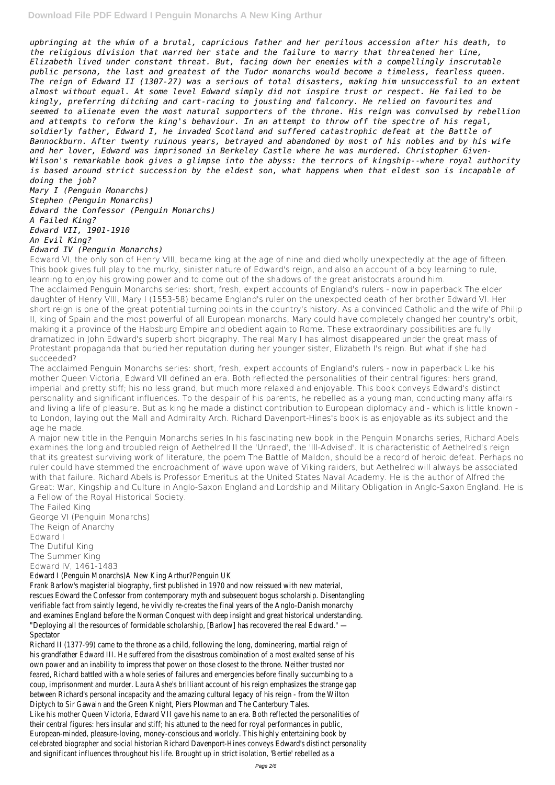*upbringing at the whim of a brutal, capricious father and her perilous accession after his death, to the religious division that marred her state and the failure to marry that threatened her line, Elizabeth lived under constant threat. But, facing down her enemies with a compellingly inscrutable public persona, the last and greatest of the Tudor monarchs would become a timeless, fearless queen. The reign of Edward II (1307-27) was a serious of total disasters, making him unsuccessful to an extent almost without equal. At some level Edward simply did not inspire trust or respect. He failed to be kingly, preferring ditching and cart-racing to jousting and falconry. He relied on favourites and seemed to alienate even the most natural supporters of the throne. His reign was convulsed by rebellion and attempts to reform the king's behaviour. In an attempt to throw off the spectre of his regal, soldierly father, Edward I, he invaded Scotland and suffered catastrophic defeat at the Battle of Bannockburn. After twenty ruinous years, betrayed and abandoned by most of his nobles and by his wife and her lover, Edward was imprisoned in Berkeley Castle where he was murdered. Christopher Given-Wilson's remarkable book gives a glimpse into the abyss: the terrors of kingship--where royal authority is based around strict succession by the eldest son, what happens when that eldest son is incapable of doing the job? Mary I (Penguin Monarchs)*

*Stephen (Penguin Monarchs) Edward the Confessor (Penguin Monarchs) A Failed King? Edward VII, 1901-1910 An Evil King? Edward IV (Penguin Monarchs)*

Edward VI, the only son of Henry VIII, became king at the age of nine and died wholly unexpectedly at the age of fifteen. This book gives full play to the murky, sinister nature of Edward's reign, and also an account of a boy learning to rule, learning to enjoy his growing power and to come out of the shadows of the great aristocrats around him. The acclaimed Penguin Monarchs series: short, fresh, expert accounts of England's rulers - now in paperback The elder daughter of Henry VIII, Mary I (1553-58) became England's ruler on the unexpected death of her brother Edward VI. Her short reign is one of the great potential turning points in the country's history. As a convinced Catholic and the wife of Philip II, king of Spain and the most powerful of all European monarchs, Mary could have completely changed her country's orbit, making it a province of the Habsburg Empire and obedient again to Rome. These extraordinary possibilities are fully dramatized in John Edward's superb short biography. The real Mary I has almost disappeared under the great mass of Protestant propaganda that buried her reputation during her younger sister, Elizabeth I's reign. But what if she had succeeded?

The acclaimed Penguin Monarchs series: short, fresh, expert accounts of England's rulers - now in paperback Like his mother Queen Victoria, Edward VII defined an era. Both reflected the personalities of their central figures: hers grand, imperial and pretty stiff; his no less grand, but much more relaxed and enjoyable. This book conveys Edward's distinct personality and significant influences. To the despair of his parents, he rebelled as a young man, conducting many affairs and living a life of pleasure. But as king he made a distinct contribution to European diplomacy and - which is little known to London, laying out the Mall and Admiralty Arch. Richard Davenport-Hines's book is as enjoyable as its subject and the age he made.

A major new title in the Penguin Monarchs series In his fascinating new book in the Penguin Monarchs series, Richard Abels examines the long and troubled reign of Aethelred II the 'Unraed', the 'Ill-Advised'. It is characteristic of Aethelred's reign that its greatest surviving work of literature, the poem The Battle of Maldon, should be a record of heroic defeat. Perhaps no ruler could have stemmed the encroachment of wave upon wave of Viking raiders, but Aethelred will always be associated with that failure. Richard Abels is Professor Emeritus at the United States Naval Academy. He is the author of Alfred the Great: War, Kingship and Culture in Anglo-Saxon England and Lordship and Military Obligation in Anglo-Saxon England. He is a Fellow of the Royal Historical Society.

The Failed King George VI (Penguin Monarchs) The Reign of Anarchy Edward I The Dutiful King The Summer King Edward IV, 1461-1483 Edward I (Penguin Monarchs)A New King Arthur?Penguin UK Frank Barlow's magisterial biography, first published in 1970 and now reissued with new material, rescues Edward the Confessor from contemporary myth and subsequent bogus scholarship. Disentangling verifiable fact from saintly legend, he vividly re-creates the final years of the Anglo-Danish monarchy and examines England before the Norman Conquest with deep insight and great historical understanding. "Deploying all the resources of formidable scholarship, [Barlow] has recovered the real Edward." — Spectator Richard II (1377-99) came to the throne as a child, following the long, domineering, martial reign of his grandfather Edward III. He suffered from the disastrous combination of a most exalted sense of his own power and an inability to impress that power on those closest to the throne. Neither trusted nor feared, Richard battled with a whole series of failures and emergencies before finally succumbing to a coup, imprisonment and murder. Laura Ashe's brilliant account of his reign emphasizes the strange gap between Richard's personal incapacity and the amazing cultural legacy of his reign - from the Wilton Diptych to Sir Gawain and the Green Knight, Piers Plowman and The Canterbury Tales. Like his mother Queen Victoria, Edward VII gave his name to an era. Both reflected the personalities of their central figures: hers insular and stiff; his attuned to the need for royal performances in public, European-minded, pleasure-loving, money-conscious and worldly. This highly entertaining book by celebrated biographer and social historian Richard Davenport-Hines conveys Edward's distinct personality and significant influences throughout his life. Brought up in strict isolation, 'Bertie' rebelled as a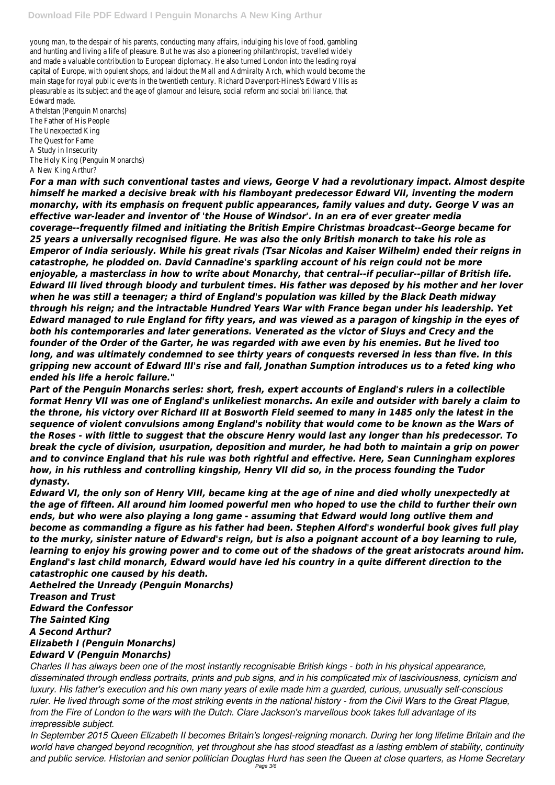young man, to the despair of his parents, conducting many affairs, indulging his love of food, gambling and hunting and living a life of pleasure. But he was also a pioneering philanthropist, travelled widely and made a valuable contribution to European diplomacy. He also turned London into the leading royal capital of Europe, with opulent shops, and laidout the Mall and Admiralty Arch, which would become the main stage for royal public events in the twentieth century. Richard Davenport-Hines's Edward VIIis as pleasurable as its subject and the age of glamour and leisure, social reform and social brilliance, that Edward made.

Athelstan (Penguin Monarchs) The Father of His People The Unexpected King The Quest for Fame A Study in Insecurity The Holy King (Penguin Monarchs) A New King Arthur?

*For a man with such conventional tastes and views, George V had a revolutionary impact. Almost despite himself he marked a decisive break with his flamboyant predecessor Edward VII, inventing the modern monarchy, with its emphasis on frequent public appearances, family values and duty. George V was an effective war-leader and inventor of 'the House of Windsor'. In an era of ever greater media coverage--frequently filmed and initiating the British Empire Christmas broadcast--George became for 25 years a universally recognised figure. He was also the only British monarch to take his role as Emperor of India seriously. While his great rivals (Tsar Nicolas and Kaiser Wilhelm) ended their reigns in catastrophe, he plodded on. David Cannadine's sparkling account of his reign could not be more enjoyable, a masterclass in how to write about Monarchy, that central--if peculiar--pillar of British life. Edward III lived through bloody and turbulent times. His father was deposed by his mother and her lover when he was still a teenager; a third of England's population was killed by the Black Death midway through his reign; and the intractable Hundred Years War with France began under his leadership. Yet Edward managed to rule England for fifty years, and was viewed as a paragon of kingship in the eyes of both his contemporaries and later generations. Venerated as the victor of Sluys and Crecy and the founder of the Order of the Garter, he was regarded with awe even by his enemies. But he lived too long, and was ultimately condemned to see thirty years of conquests reversed in less than five. In this gripping new account of Edward III's rise and fall, Jonathan Sumption introduces us to a feted king who ended his life a heroic failure."*

*Part of the Penguin Monarchs series: short, fresh, expert accounts of England's rulers in a collectible format Henry VII was one of England's unlikeliest monarchs. An exile and outsider with barely a claim to the throne, his victory over Richard III at Bosworth Field seemed to many in 1485 only the latest in the sequence of violent convulsions among England's nobility that would come to be known as the Wars of the Roses - with little to suggest that the obscure Henry would last any longer than his predecessor. To break the cycle of division, usurpation, deposition and murder, he had both to maintain a grip on power and to convince England that his rule was both rightful and effective. Here, Sean Cunningham explores how, in his ruthless and controlling kingship, Henry VII did so, in the process founding the Tudor dynasty.*

*Edward VI, the only son of Henry VIII, became king at the age of nine and died wholly unexpectedly at the age of fifteen. All around him loomed powerful men who hoped to use the child to further their own ends, but who were also playing a long game - assuming that Edward would long outlive them and become as commanding a figure as his father had been. Stephen Alford's wonderful book gives full play to the murky, sinister nature of Edward's reign, but is also a poignant account of a boy learning to rule, learning to enjoy his growing power and to come out of the shadows of the great aristocrats around him. England's last child monarch, Edward would have led his country in a quite different direction to the catastrophic one caused by his death.*

*Aethelred the Unready (Penguin Monarchs)*

## *Treason and Trust Edward the Confessor The Sainted King A Second Arthur? Elizabeth I (Penguin Monarchs) Edward V (Penguin Monarchs)*

*Charles II has always been one of the most instantly recognisable British kings - both in his physical appearance, disseminated through endless portraits, prints and pub signs, and in his complicated mix of lasciviousness, cynicism and luxury. His father's execution and his own many years of exile made him a guarded, curious, unusually self-conscious ruler. He lived through some of the most striking events in the national history - from the Civil Wars to the Great Plague, from the Fire of London to the wars with the Dutch. Clare Jackson's marvellous book takes full advantage of its irrepressible subject.*

*In September 2015 Queen Elizabeth II becomes Britain's longest-reigning monarch. During her long lifetime Britain and the world have changed beyond recognition, yet throughout she has stood steadfast as a lasting emblem of stability, continuity and public service. Historian and senior politician Douglas Hurd has seen the Queen at close quarters, as Home Secretary* Page 3/6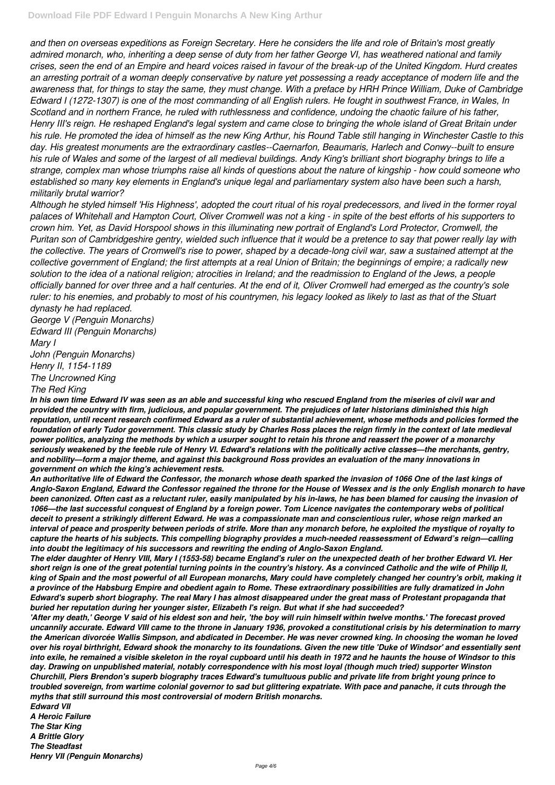*and then on overseas expeditions as Foreign Secretary. Here he considers the life and role of Britain's most greatly admired monarch, who, inheriting a deep sense of duty from her father George VI, has weathered national and family crises, seen the end of an Empire and heard voices raised in favour of the break-up of the United Kingdom. Hurd creates an arresting portrait of a woman deeply conservative by nature yet possessing a ready acceptance of modern life and the awareness that, for things to stay the same, they must change. With a preface by HRH Prince William, Duke of Cambridge Edward I (1272-1307) is one of the most commanding of all English rulers. He fought in southwest France, in Wales, In Scotland and in northern France, he ruled with ruthlessness and confidence, undoing the chaotic failure of his father, Henry III's reign. He reshaped England's legal system and came close to bringing the whole island of Great Britain under his rule. He promoted the idea of himself as the new King Arthur, his Round Table still hanging in Winchester Castle to this day. His greatest monuments are the extraordinary castles--Caernarfon, Beaumaris, Harlech and Conwy--built to ensure his rule of Wales and some of the largest of all medieval buildings. Andy King's brilliant short biography brings to life a strange, complex man whose triumphs raise all kinds of questions about the nature of kingship - how could someone who established so many key elements in England's unique legal and parliamentary system also have been such a harsh, militarily brutal warrior?*

*Although he styled himself 'His Highness', adopted the court ritual of his royal predecessors, and lived in the former royal palaces of Whitehall and Hampton Court, Oliver Cromwell was not a king - in spite of the best efforts of his supporters to crown him. Yet, as David Horspool shows in this illuminating new portrait of England's Lord Protector, Cromwell, the Puritan son of Cambridgeshire gentry, wielded such influence that it would be a pretence to say that power really lay with the collective. The years of Cromwell's rise to power, shaped by a decade-long civil war, saw a sustained attempt at the collective government of England; the first attempts at a real Union of Britain; the beginnings of empire; a radically new solution to the idea of a national religion; atrocities in Ireland; and the readmission to England of the Jews, a people officially banned for over three and a half centuries. At the end of it, Oliver Cromwell had emerged as the country's sole ruler: to his enemies, and probably to most of his countrymen, his legacy looked as likely to last as that of the Stuart dynasty he had replaced.*

*George V (Penguin Monarchs) Edward III (Penguin Monarchs) Mary I John (Penguin Monarchs) Henry II, 1154-1189 The Uncrowned King The Red King*

*In his own time Edward IV was seen as an able and successful king who rescued England from the miseries of civil war and provided the country with firm, judicious, and popular government. The prejudices of later historians diminished this high reputation, until recent research confirmed Edward as a ruler of substantial achievement, whose methods and policies formed the foundation of early Tudor government. This classic study by Charles Ross places the reign firmly in the context of late medieval power politics, analyzing the methods by which a usurper sought to retain his throne and reassert the power of a monarchy seriously weakened by the feeble rule of Henry VI. Edward's relations with the politically active classes—the merchants, gentry, and nobility—form a major theme, and against this background Ross provides an evaluation of the many innovations in government on which the king's achievement rests.*

*An authoritative life of Edward the Confessor, the monarch whose death sparked the invasion of 1066 One of the last kings of Anglo-Saxon England, Edward the Confessor regained the throne for the House of Wessex and is the only English monarch to have been canonized. Often cast as a reluctant ruler, easily manipulated by his in-laws, he has been blamed for causing the invasion of 1066—the last successful conquest of England by a foreign power. Tom Licence navigates the contemporary webs of political deceit to present a strikingly different Edward. He was a compassionate man and conscientious ruler, whose reign marked an interval of peace and prosperity between periods of strife. More than any monarch before, he exploited the mystique of royalty to capture the hearts of his subjects. This compelling biography provides a much-needed reassessment of Edward's reign—calling into doubt the legitimacy of his successors and rewriting the ending of Anglo-Saxon England.*

*The elder daughter of Henry VIII, Mary I (1553-58) became England's ruler on the unexpected death of her brother Edward VI. Her short reign is one of the great potential turning points in the country's history. As a convinced Catholic and the wife of Philip II, king of Spain and the most powerful of all European monarchs, Mary could have completely changed her country's orbit, making it a province of the Habsburg Empire and obedient again to Rome. These extraordinary possibilities are fully dramatized in John*

*Edward's superb short biography. The real Mary I has almost disappeared under the great mass of Protestant propaganda that buried her reputation during her younger sister, Elizabeth I's reign. But what if she had succeeded?*

*'After my death,' George V said of his eldest son and heir, 'the boy will ruin himself within twelve months.' The forecast proved uncannily accurate. Edward VIII came to the throne in January 1936, provoked a constitutional crisis by his determination to marry the American divorcée Wallis Simpson, and abdicated in December. He was never crowned king. In choosing the woman he loved over his royal birthright, Edward shook the monarchy to its foundations. Given the new title 'Duke of Windsor' and essentially sent into exile, he remained a visible skeleton in the royal cupboard until his death in 1972 and he haunts the house of Windsor to this day. Drawing on unpublished material, notably correspondence with his most loyal (though much tried) supporter Winston Churchill, Piers Brendon's superb biography traces Edward's tumultuous public and private life from bright young prince to troubled sovereign, from wartime colonial governor to sad but glittering expatriate. With pace and panache, it cuts through the myths that still surround this most controversial of modern British monarchs.*

*Edward VII*

*A Heroic Failure*

*The Star King*

*A Brittle Glory*

*The Steadfast*

*Henry VII (Penguin Monarchs)*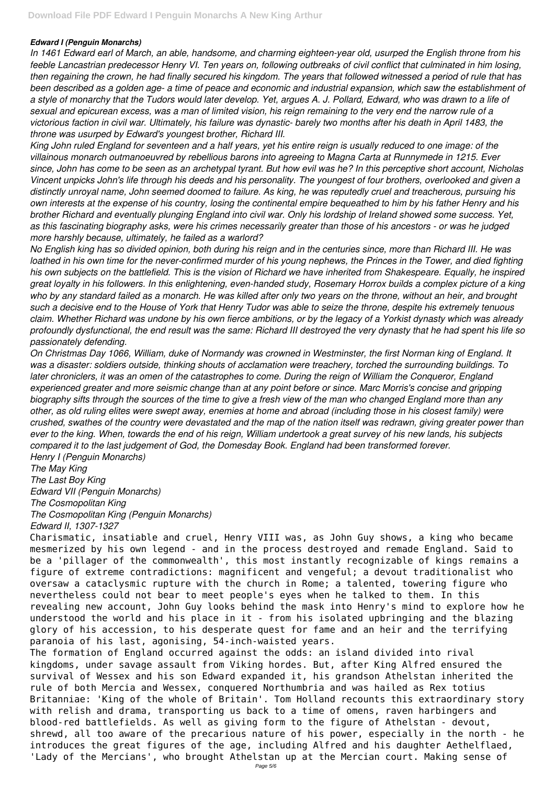## *Edward I (Penguin Monarchs)*

*In 1461 Edward earl of March, an able, handsome, and charming eighteen-year old, usurped the English throne from his feeble Lancastrian predecessor Henry VI. Ten years on, following outbreaks of civil conflict that culminated in him losing, then regaining the crown, he had finally secured his kingdom. The years that followed witnessed a period of rule that has been described as a golden age- a time of peace and economic and industrial expansion, which saw the establishment of a style of monarchy that the Tudors would later develop. Yet, argues A. J. Pollard, Edward, who was drawn to a life of sexual and epicurean excess, was a man of limited vision, his reign remaining to the very end the narrow rule of a victorious faction in civil war. Ultimately, his failure was dynastic- barely two months after his death in April 1483, the throne was usurped by Edward's youngest brother, Richard III.*

*King John ruled England for seventeen and a half years, yet his entire reign is usually reduced to one image: of the villainous monarch outmanoeuvred by rebellious barons into agreeing to Magna Carta at Runnymede in 1215. Ever since, John has come to be seen as an archetypal tyrant. But how evil was he? In this perceptive short account, Nicholas Vincent unpicks John's life through his deeds and his personality. The youngest of four brothers, overlooked and given a distinctly unroyal name, John seemed doomed to failure. As king, he was reputedly cruel and treacherous, pursuing his own interests at the expense of his country, losing the continental empire bequeathed to him by his father Henry and his brother Richard and eventually plunging England into civil war. Only his lordship of Ireland showed some success. Yet, as this fascinating biography asks, were his crimes necessarily greater than those of his ancestors - or was he judged more harshly because, ultimately, he failed as a warlord?*

*No English king has so divided opinion, both during his reign and in the centuries since, more than Richard III. He was loathed in his own time for the never-confirmed murder of his young nephews, the Princes in the Tower, and died fighting his own subjects on the battlefield. This is the vision of Richard we have inherited from Shakespeare. Equally, he inspired great loyalty in his followers. In this enlightening, even-handed study, Rosemary Horrox builds a complex picture of a king who by any standard failed as a monarch. He was killed after only two years on the throne, without an heir, and brought such a decisive end to the House of York that Henry Tudor was able to seize the throne, despite his extremely tenuous claim. Whether Richard was undone by his own fierce ambitions, or by the legacy of a Yorkist dynasty which was already profoundly dysfunctional, the end result was the same: Richard III destroyed the very dynasty that he had spent his life so passionately defending.*

*On Christmas Day 1066, William, duke of Normandy was crowned in Westminster, the first Norman king of England. It was a disaster: soldiers outside, thinking shouts of acclamation were treachery, torched the surrounding buildings. To later chroniclers, it was an omen of the catastrophes to come. During the reign of William the Conqueror, England experienced greater and more seismic change than at any point before or since. Marc Morris's concise and gripping biography sifts through the sources of the time to give a fresh view of the man who changed England more than any other, as old ruling elites were swept away, enemies at home and abroad (including those in his closest family) were crushed, swathes of the country were devastated and the map of the nation itself was redrawn, giving greater power than ever to the king. When, towards the end of his reign, William undertook a great survey of his new lands, his subjects compared it to the last judgement of God, the Domesday Book. England had been transformed forever. Henry I (Penguin Monarchs)*

*The May King The Last Boy King Edward VII (Penguin Monarchs) The Cosmopolitan King The Cosmopolitan King (Penguin Monarchs) Edward II, 1307-1327*

Charismatic, insatiable and cruel, Henry VIII was, as John Guy shows, a king who became mesmerized by his own legend - and in the process destroyed and remade England. Said to be a 'pillager of the commonwealth', this most instantly recognizable of kings remains a figure of extreme contradictions: magnificent and vengeful; a devout traditionalist who oversaw a cataclysmic rupture with the church in Rome; a talented, towering figure who nevertheless could not bear to meet people's eyes when he talked to them. In this revealing new account, John Guy looks behind the mask into Henry's mind to explore how he understood the world and his place in it - from his isolated upbringing and the blazing glory of his accession, to his desperate quest for fame and an heir and the terrifying paranoia of his last, agonising, 54-inch-waisted years. The formation of England occurred against the odds: an island divided into rival kingdoms, under savage assault from Viking hordes. But, after King Alfred ensured the survival of Wessex and his son Edward expanded it, his grandson Athelstan inherited the rule of both Mercia and Wessex, conquered Northumbria and was hailed as Rex totius Britanniae: 'King of the whole of Britain'. Tom Holland recounts this extraordinary story with relish and drama, transporting us back to a time of omens, raven harbingers and blood-red battlefields. As well as giving form to the figure of Athelstan - devout, shrewd, all too aware of the precarious nature of his power, especially in the north - he introduces the great figures of the age, including Alfred and his daughter Aethelflaed, 'Lady of the Mercians', who brought Athelstan up at the Mercian court. Making sense of